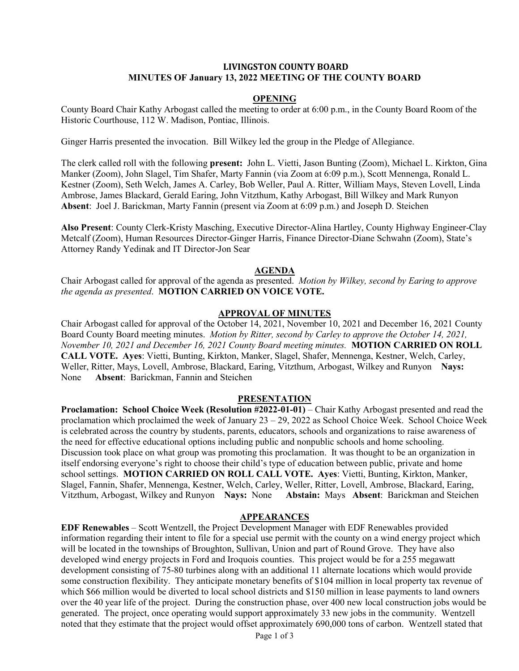### **LIVINGSTON COUNTY BOARD MINUTES OF January 13, 2022 MEETING OF THE COUNTY BOARD**

#### **OPENING**

County Board Chair Kathy Arbogast called the meeting to order at 6:00 p.m., in the County Board Room of the Historic Courthouse, 112 W. Madison, Pontiac, Illinois.

Ginger Harris presented the invocation. Bill Wilkey led the group in the Pledge of Allegiance.

The clerk called roll with the following **present:** John L. Vietti, Jason Bunting (Zoom), Michael L. Kirkton, Gina Manker (Zoom), John Slagel, Tim Shafer, Marty Fannin (via Zoom at 6:09 p.m.), Scott Mennenga, Ronald L. Kestner (Zoom), Seth Welch, James A. Carley, Bob Weller, Paul A. Ritter, William Mays, Steven Lovell, Linda Ambrose, James Blackard, Gerald Earing, John Vitzthum, Kathy Arbogast, Bill Wilkey and Mark Runyon **Absent**: Joel J. Barickman, Marty Fannin (present via Zoom at 6:09 p.m.) and Joseph D. Steichen

**Also Present**: County Clerk-Kristy Masching, Executive Director-Alina Hartley, County Highway Engineer-Clay Metcalf (Zoom), Human Resources Director-Ginger Harris, Finance Director-Diane Schwahn (Zoom), State's Attorney Randy Yedinak and IT Director-Jon Sear

#### **AGENDA**

Chair Arbogast called for approval of the agenda as presented. *Motion by Wilkey, second by Earing to approve the agenda as presented*. **MOTION CARRIED ON VOICE VOTE.**

#### **APPROVAL OF MINUTES**

Chair Arbogast called for approval of the October 14, 2021, November 10, 2021 and December 16, 2021 County Board County Board meeting minutes. *Motion by Ritter, second by Carley to approve the October 14, 2021, November 10, 2021 and December 16, 2021 County Board meeting minutes.* **MOTION CARRIED ON ROLL CALL VOTE. Ayes**: Vietti, Bunting, Kirkton, Manker, Slagel, Shafer, Mennenga, Kestner, Welch, Carley, Weller, Ritter, Mays, Lovell, Ambrose, Blackard, Earing, Vitzthum, Arbogast, Wilkey and Runyon **Nays:** None **Absent**: Barickman, Fannin and Steichen

#### **PRESENTATION**

**Proclamation: School Choice Week (Resolution #2022-01-01)** – Chair Kathy Arbogast presented and read the proclamation which proclaimed the week of January  $23 - 29$ ,  $2022$  as School Choice Week. School Choice Week is celebrated across the country by students, parents, educators, schools and organizations to raise awareness of the need for effective educational options including public and nonpublic schools and home schooling. Discussion took place on what group was promoting this proclamation. It was thought to be an organization in itself endorsing everyone's right to choose their child's type of education between public, private and home school settings. **MOTION CARRIED ON ROLL CALL VOTE. Ayes**: Vietti, Bunting, Kirkton, Manker, Slagel, Fannin, Shafer, Mennenga, Kestner, Welch, Carley, Weller, Ritter, Lovell, Ambrose, Blackard, Earing, Vitzthum, Arbogast, Wilkey and Runyon **Nays:** None **Abstain:** Mays **Absent**: Barickman and Steichen

# **APPEARANCES**

**EDF Renewables** – Scott Wentzell, the Project Development Manager with EDF Renewables provided information regarding their intent to file for a special use permit with the county on a wind energy project which will be located in the townships of Broughton, Sullivan, Union and part of Round Grove. They have also developed wind energy projects in Ford and Iroquois counties. This project would be for a 255 megawatt development consisting of 75-80 turbines along with an additional 11 alternate locations which would provide some construction flexibility. They anticipate monetary benefits of \$104 million in local property tax revenue of which \$66 million would be diverted to local school districts and \$150 million in lease payments to land owners over the 40 year life of the project. During the construction phase, over 400 new local construction jobs would be generated. The project, once operating would support approximately 33 new jobs in the community. Wentzell noted that they estimate that the project would offset approximately 690,000 tons of carbon. Wentzell stated that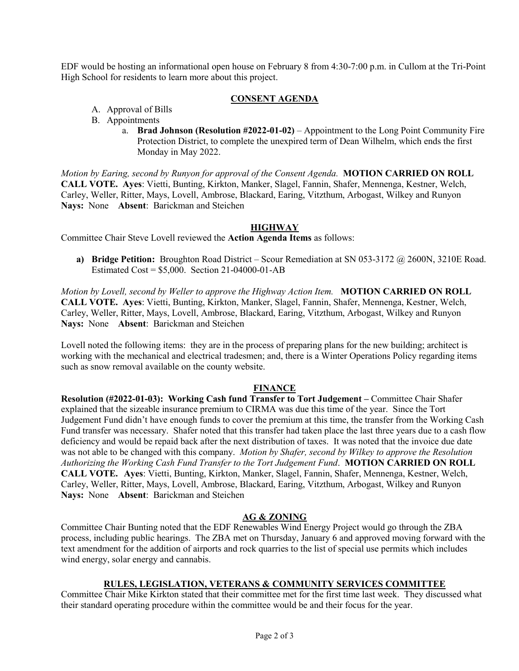EDF would be hosting an informational open house on February 8 from 4:30-7:00 p.m. in Cullom at the Tri-Point High School for residents to learn more about this project.

# **CONSENT AGENDA**

- A. Approval of Bills
- B. Appointments
	- a. **Brad Johnson (Resolution #2022-01-02)** Appointment to the Long Point Community Fire Protection District, to complete the unexpired term of Dean Wilhelm, which ends the first Monday in May 2022.

*Motion by Earing, second by Runyon for approval of the Consent Agenda.* **MOTION CARRIED ON ROLL CALL VOTE. Ayes**: Vietti, Bunting, Kirkton, Manker, Slagel, Fannin, Shafer, Mennenga, Kestner, Welch, Carley, Weller, Ritter, Mays, Lovell, Ambrose, Blackard, Earing, Vitzthum, Arbogast, Wilkey and Runyon **Nays:** None **Absent**: Barickman and Steichen

# **HIGHWAY**

Committee Chair Steve Lovell reviewed the **Action Agenda Items** as follows:

**a) Bridge Petition:** Broughton Road District – Scour Remediation at SN 053-3172 @ 2600N, 3210E Road. Estimated Cost =  $$5,000$ . Section 21-04000-01-AB

*Motion by Lovell, second by Weller to approve the Highway Action Item.* **MOTION CARRIED ON ROLL CALL VOTE. Ayes**: Vietti, Bunting, Kirkton, Manker, Slagel, Fannin, Shafer, Mennenga, Kestner, Welch, Carley, Weller, Ritter, Mays, Lovell, Ambrose, Blackard, Earing, Vitzthum, Arbogast, Wilkey and Runyon **Nays:** None **Absent**: Barickman and Steichen

Lovell noted the following items: they are in the process of preparing plans for the new building; architect is working with the mechanical and electrical tradesmen; and, there is a Winter Operations Policy regarding items such as snow removal available on the county website.

# **FINANCE**

**Resolution (#2022-01-03): Working Cash fund Transfer to Tort Judgement –** Committee Chair Shafer explained that the sizeable insurance premium to CIRMA was due this time of the year. Since the Tort Judgement Fund didn't have enough funds to cover the premium at this time, the transfer from the Working Cash Fund transfer was necessary. Shafer noted that this transfer had taken place the last three years due to a cash flow deficiency and would be repaid back after the next distribution of taxes. It was noted that the invoice due date was not able to be changed with this company. *Motion by Shafer, second by Wilkey to approve the Resolution Authorizing the Working Cash Fund Transfer to the Tort Judgement Fund*. **MOTION CARRIED ON ROLL CALL VOTE. Ayes**: Vietti, Bunting, Kirkton, Manker, Slagel, Fannin, Shafer, Mennenga, Kestner, Welch, Carley, Weller, Ritter, Mays, Lovell, Ambrose, Blackard, Earing, Vitzthum, Arbogast, Wilkey and Runyon **Nays:** None **Absent**: Barickman and Steichen

# **AG & ZONING**

Committee Chair Bunting noted that the EDF Renewables Wind Energy Project would go through the ZBA process, including public hearings. The ZBA met on Thursday, January 6 and approved moving forward with the text amendment for the addition of airports and rock quarries to the list of special use permits which includes wind energy, solar energy and cannabis.

# **RULES, LEGISLATION, VETERANS & COMMUNITY SERVICES COMMITTEE**

Committee Chair Mike Kirkton stated that their committee met for the first time last week. They discussed what their standard operating procedure within the committee would be and their focus for the year.